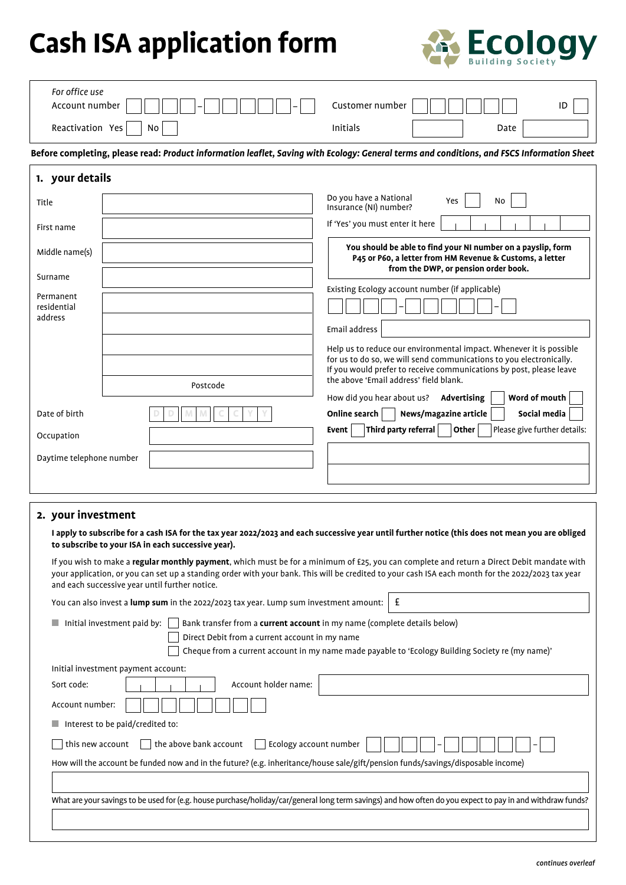# **Cash ISA application form**

 $\Gamma$ 



| For office use                                                                                                                                                                                         |                                                                                                                                            |                                                                                                                                                                  |  |  |  |  |  |
|--------------------------------------------------------------------------------------------------------------------------------------------------------------------------------------------------------|--------------------------------------------------------------------------------------------------------------------------------------------|------------------------------------------------------------------------------------------------------------------------------------------------------------------|--|--|--|--|--|
| Account number                                                                                                                                                                                         |                                                                                                                                            | Customer number<br>ID                                                                                                                                            |  |  |  |  |  |
| Reactivation Yes                                                                                                                                                                                       | No                                                                                                                                         | <b>Initials</b><br>Date                                                                                                                                          |  |  |  |  |  |
|                                                                                                                                                                                                        | Before completing, please read: Product information leaflet, Saving with Ecology: General terms and conditions, and FSCS Information Sheet |                                                                                                                                                                  |  |  |  |  |  |
| 1. your details                                                                                                                                                                                        |                                                                                                                                            |                                                                                                                                                                  |  |  |  |  |  |
| Title                                                                                                                                                                                                  |                                                                                                                                            | Do you have a National<br>Yes<br>No<br>Insurance (NI) number?                                                                                                    |  |  |  |  |  |
| First name                                                                                                                                                                                             |                                                                                                                                            | If 'Yes' you must enter it here                                                                                                                                  |  |  |  |  |  |
| Middle name(s)                                                                                                                                                                                         |                                                                                                                                            | You should be able to find your NI number on a payslip, form<br>P45 or P60, a letter from HM Revenue & Customs, a letter<br>from the DWP, or pension order book. |  |  |  |  |  |
| Surname                                                                                                                                                                                                |                                                                                                                                            | Existing Ecology account number (if applicable)                                                                                                                  |  |  |  |  |  |
| Permanent<br>residential                                                                                                                                                                               |                                                                                                                                            |                                                                                                                                                                  |  |  |  |  |  |
| address                                                                                                                                                                                                |                                                                                                                                            |                                                                                                                                                                  |  |  |  |  |  |
|                                                                                                                                                                                                        |                                                                                                                                            | Email address                                                                                                                                                    |  |  |  |  |  |
|                                                                                                                                                                                                        |                                                                                                                                            | Help us to reduce our environmental impact. Whenever it is possible                                                                                              |  |  |  |  |  |
|                                                                                                                                                                                                        |                                                                                                                                            | for us to do so, we will send communications to you electronically.<br>If you would prefer to receive communications by post, please leave                       |  |  |  |  |  |
|                                                                                                                                                                                                        | Postcode                                                                                                                                   | the above 'Email address' field blank.                                                                                                                           |  |  |  |  |  |
|                                                                                                                                                                                                        |                                                                                                                                            | Word of mouth<br>How did you hear about us?<br>Advertising                                                                                                       |  |  |  |  |  |
| Date of birth                                                                                                                                                                                          |                                                                                                                                            | Online search<br>News/magazine article<br>Social media                                                                                                           |  |  |  |  |  |
| Occupation                                                                                                                                                                                             |                                                                                                                                            | Third party referral<br>Other<br>Please give further details:<br>Event                                                                                           |  |  |  |  |  |
| Daytime telephone number                                                                                                                                                                               |                                                                                                                                            |                                                                                                                                                                  |  |  |  |  |  |
|                                                                                                                                                                                                        |                                                                                                                                            |                                                                                                                                                                  |  |  |  |  |  |
|                                                                                                                                                                                                        |                                                                                                                                            |                                                                                                                                                                  |  |  |  |  |  |
| 2. your investment                                                                                                                                                                                     |                                                                                                                                            |                                                                                                                                                                  |  |  |  |  |  |
| I apply to subscribe for a cash ISA for the tax year 2022/2023 and each successive year until further notice (this does not mean you are obliged<br>to subscribe to your ISA in each successive year). |                                                                                                                                            |                                                                                                                                                                  |  |  |  |  |  |

| If you wish to make a regular monthly payment, which must be for a minimum of £25, you can complete and return a Direct Debit mandate with        |
|---------------------------------------------------------------------------------------------------------------------------------------------------|
| your application, or you can set up a standing order with your bank. This will be credited to your cash ISA each month for the 2022/2023 tax year |
| and each successive year until further notice.                                                                                                    |

| You can also invest a lump sum in the 2022/2023 tax year. Lump sum investment amount:                                                                      | £ |  |  |  |
|------------------------------------------------------------------------------------------------------------------------------------------------------------|---|--|--|--|
| Initial investment paid by:<br>Bank transfer from a <b>current account</b> in my name (complete details below)                                             |   |  |  |  |
| Direct Debit from a current account in my name                                                                                                             |   |  |  |  |
| Cheque from a current account in my name made payable to 'Ecology Building Society re (my name)'                                                           |   |  |  |  |
| Initial investment payment account:                                                                                                                        |   |  |  |  |
| Account holder name:<br>Sort code:                                                                                                                         |   |  |  |  |
| Account number:                                                                                                                                            |   |  |  |  |
| Interest to be paid/credited to:<br>a a                                                                                                                    |   |  |  |  |
| the above bank account<br>Ecology account number<br>this new account                                                                                       |   |  |  |  |
| How will the account be funded now and in the future? (e.g. inheritance/house sale/gift/pension funds/savings/disposable income)                           |   |  |  |  |
|                                                                                                                                                            |   |  |  |  |
| What are your savings to be used for (e.g. house purchase/holiday/car/general long term savings) and how often do you expect to pay in and withdraw funds? |   |  |  |  |
|                                                                                                                                                            |   |  |  |  |
|                                                                                                                                                            |   |  |  |  |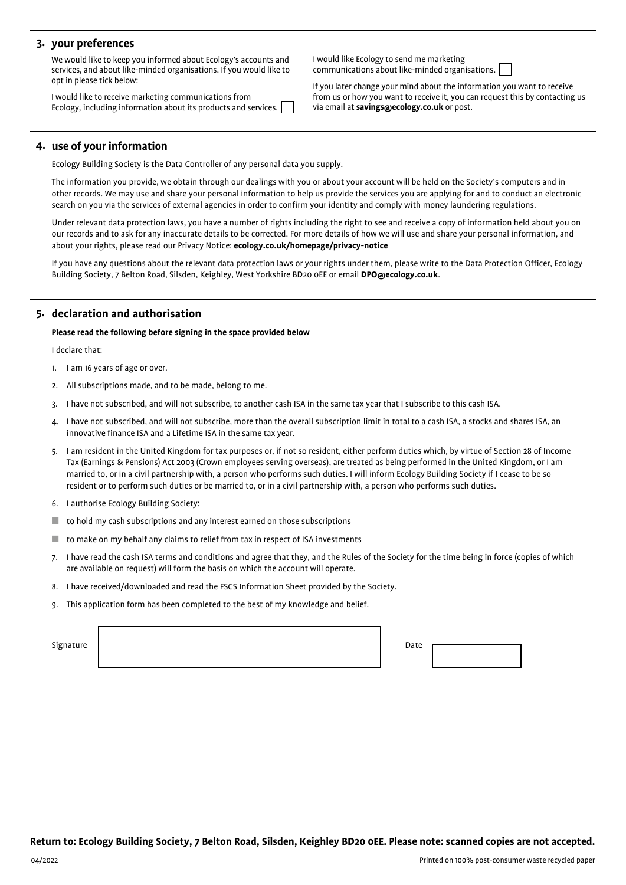## **3. your preferences**

We would like to keep you informed about Ecology's accounts and services, and about like-minded organisations. If you would like to opt in please tick below:

I would like to receive marketing communications from Ecology, including information about its products and services. I would like Ecology to send me marketing communications about like-minded organisations.



If you later change your mind about the information you want to receive from us or how you want to receive it, you can request this by contacting us via email at **savings@ecology.co.uk** or post.

## **4. use of your information**

Ecology Building Society is the Data Controller of any personal data you supply.

The information you provide, we obtain through our dealings with you or about your account will be held on the Society's computers and in other records. We may use and share your personal information to help us provide the services you are applying for and to conduct an electronic search on you via the services of external agencies in order to confirm your identity and comply with money laundering regulations.

Under relevant data protection laws, you have a number of rights including the right to see and receive a copy of information held about you on our records and to ask for any inaccurate details to be corrected. For more details of how we will use and share your personal information, and about your rights, please read our Privacy Notice: **ecology.co.uk/homepage/privacy‑notice**

If you have any questions about the relevant data protection laws or your rights under them, please write to the Data Protection Officer, Ecology Building Society, 7 Belton Road, Silsden, Keighley, West Yorkshire BD20 0EE or email **DPO@ecology.co.uk**.

## **5. declaration and authorisation**

#### **Please read the following before signing in the space provided below**

I declare that:

- 1. I am 16 years of age or over.
- 2. All subscriptions made, and to be made, belong to me.
- 3. I have not subscribed, and will not subscribe, to another cash ISA in the same tax year that I subscribe to this cash ISA.
- 4. I have not subscribed, and will not subscribe, more than the overall subscription limit in total to a cash ISA, a stocks and shares ISA, an innovative finance ISA and a Lifetime ISA in the same tax year.
- 5. I am resident in the United Kingdom for tax purposes or, if not so resident, either perform duties which, by virtue of Section 28 of Income Tax (Earnings & Pensions) Act 2003 (Crown employees serving overseas), are treated as being performed in the United Kingdom, or I am married to, or in a civil partnership with, a person who performs such duties. I will inform Ecology Building Society if I cease to be so resident or to perform such duties or be married to, or in a civil partnership with, a person who performs such duties.
- 6. I authorise Ecology Building Society:
- to hold my cash subscriptions and any interest earned on those subscriptions
- to make on my behalf any claims to relief from tax in respect of ISA investments
- 7. I have read the cash ISA terms and conditions and agree that they, and the Rules of the Society for the time being in force (copies of which are available on request) will form the basis on which the account will operate.
- 8. I have received/downloaded and read the FSCS Information Sheet provided by the Society.
- 9. This application form has been completed to the best of my knowledge and belief.

Signature **Date of the Signature of the Signature of the Signature of the Date of the Date of the Date of the Date of the Date of the Date of the Date of the Date of the Date of the Date of the Date of the Date of the Date**